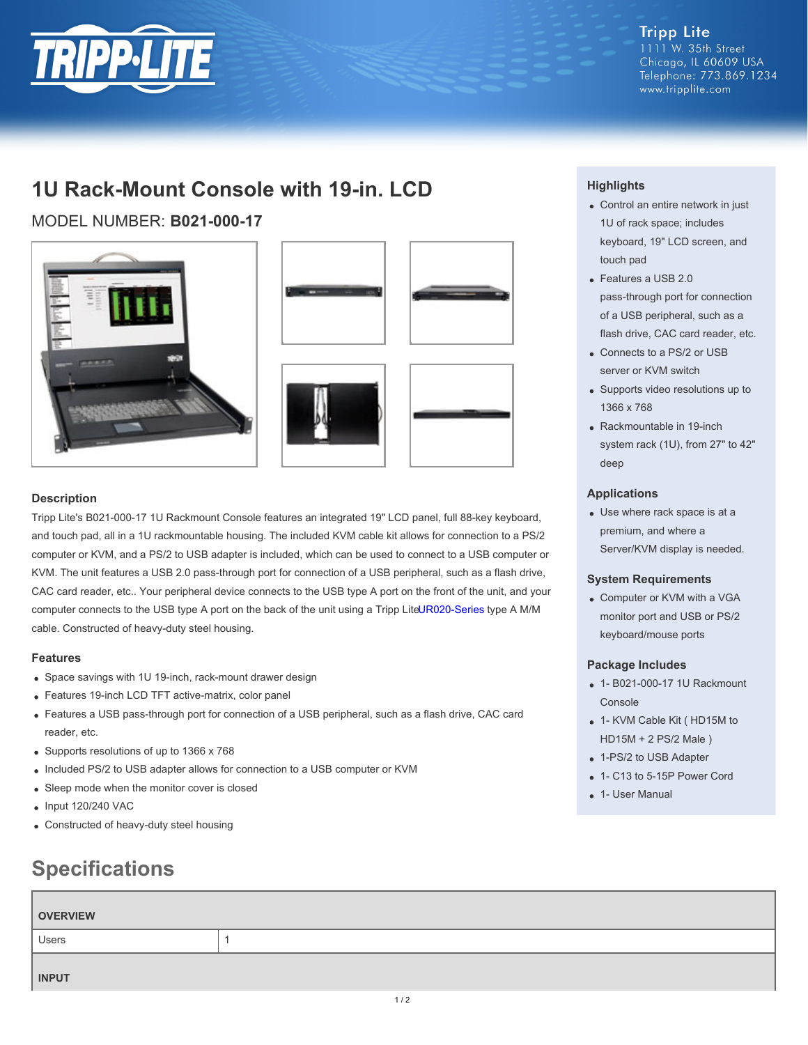

**Tripp Lite** 1111 W. 35th Street Chicago, IL 60609 USA Telephone: 773.869.1234 www.tripplite.com

# **1U Rack-Mount Console with 19-in. LCD**

MODEL NUMBER: **B021-000-17**





## **Description**

Tripp Lite's B021-000-17 1U Rackmount Console features an integrated 19" LCD panel, full 88-key keyboard, and touch pad, all in a 1U rackmountable housing. The included KVM cable kit allows for connection to a PS/2 computer or KVM, and a PS/2 to USB adapter is included, which can be used to connect to a USB computer or KVM. The unit features a USB 2.0 pass-through port for connection of a USB peripheral, such as a flash drive, CAC card reader, etc.. Your peripheral device connects to the USB type A port on the front of the unit, and your computer connects to the USB type A port on the back of the unit using a Tripp LiteUR020-Series type A M/M cable. Constructed of heavy-duty steel housing.

### **Features**

- Space savings with 1U 19-inch, rack-mount drawer design
- Features 19-inch LCD TFT active-matrix, color panel
- Features a USB pass-through port for connection of a USB peripheral, such as a flash drive, CAC card reader, etc.
- Supports resolutions of up to 1366 x 768
- Included PS/2 to USB adapter allows for connection to a USB computer or KVM
- Sleep mode when the monitor cover is closed
- Input 120/240 VAC
- Constructed of heavy-duty steel housing

# **Specifications**

# **Highlights**

- Control an entire network in just 1U of rack space; includes keyboard, 19" LCD screen, and touch pad
- Features a USB 2.0 pass-through port for connection of a USB peripheral, such as a flash drive, CAC card reader, etc.
- Connects to a PS/2 or USB server or KVM switch
- Supports video resolutions up to 1366 x 768
- Rackmountable in 19-inch system rack (1U), from 27" to 42" deep

### **Applications**

Use where rack space is at a premium, and where a Server/KVM display is needed.

#### **System Requirements**

Computer or KVM with a VGA monitor port and USB or PS/2 keyboard/mouse ports

### **Package Includes**

- 1- B021-000-17 1U Rackmount Console
- 1- KVM Cable Kit ( HD15M to HD15M + 2 PS/2 Male )
- 1-PS/2 to USB Adapter
- 1- C13 to 5-15P Power Cord
- 1- User Manual

| <b>OVERVIEW</b> |  |
|-----------------|--|
| Users           |  |
| <b>INPUT</b>    |  |